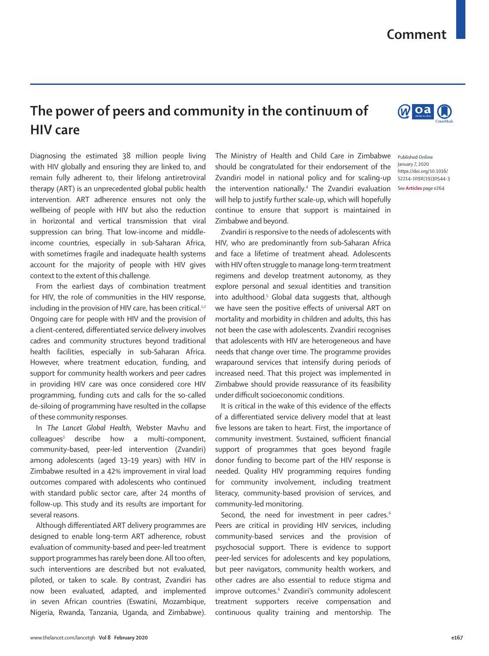## **Comment**

## **The power of peers and community in the continuum of HIV care**

Diagnosing the estimated 38 million people living with HIV globally and ensuring they are linked to, and remain fully adherent to, their lifelong antiretroviral therapy (ART) is an unprecedented global public health intervention. ART adherence ensures not only the wellbeing of people with HIV but also the reduction in horizontal and vertical transmission that viral suppression can bring. That low-income and middleincome countries, especially in sub-Saharan Africa, with sometimes fragile and inadequate health systems account for the majority of people with HIV gives context to the extent of this challenge.

From the earliest days of combination treatment for HIV, the role of communities in the HIV response, including in the provision of HIV care, has been critical.<sup>1,2</sup> Ongoing care for people with HIV and the provision of a client-centered, differentiated service delivery involves cadres and community structures beyond traditional health facilities, especially in sub-Saharan Africa. However, where treatment education, funding, and support for community health workers and peer cadres in providing HIV care was once considered core HIV programming, funding cuts and calls for the so-called de-siloing of programming have resulted in the collapse of these community responses.

In *The Lancet Global Health*, Webster Mavhu and colleagues<sup>3</sup> describe how a multi-component, community-based, peer-led intervention (Zvandiri) among adolescents (aged 13–19 years) with HIV in Zimbabwe resulted in a 42% improvement in viral load outcomes compared with adolescents who continued with standard public sector care, after 24 months of follow-up. This study and its results are important for several reasons.

Although differentiated ART delivery programmes are designed to enable long-term ART adherence, robust evaluation of community-based and peer-led treatment support programmes has rarely been done. All too often, such interventions are described but not evaluated, piloted, or taken to scale. By contrast, Zvandiri has now been evaluated, adapted, and implemented in seven African countries (Eswatini, Mozambique, Nigeria, Rwanda, Tanzania, Uganda, and Zimbabwe).

The Ministry of Health and Child Care in Zimbabwe should be congratulated for their endorsement of the Zvandiri model in national policy and for scaling-up the intervention nationally.4 The Zvandiri evaluation will help to justify further scale-up, which will hopefully continue to ensure that support is maintained in Zimbabwe and beyond.

Zvandiri is responsive to the needs of adolescents with HIV, who are predominantly from sub-Saharan Africa and face a lifetime of treatment ahead. Adolescents with HIV often struggle to manage long-term treatment regimens and develop treatment autonomy, as they explore personal and sexual identities and transition into adulthood.<sup>5</sup> Global data suggests that, although we have seen the positive effects of universal ART on mortality and morbidity in children and adults, this has not been the case with adolescents. Zvandiri recognises that adolescents with HIV are heterogeneous and have needs that change over time. The programme provides wraparound services that intensify during periods of increased need. That this project was implemented in Zimbabwe should provide reassurance of its feasibility under difficult socioeconomic conditions.

It is critical in the wake of this evidence of the effects of a differentiated service delivery model that at least five lessons are taken to heart. First, the importance of community investment. Sustained, sufficient financial support of programmes that goes beyond fragile donor funding to become part of the HIV response is needed. Quality HIV programming requires funding for community involvement, including treatment literacy, community-based provision of services, and community-led monitoring.

Second, the need for investment in peer cadres.<sup>6</sup> Peers are critical in providing HIV services, including community-based services and the provision of psychosocial support. There is evidence to support peer-led services for adolescents and key populations, but peer navigators, community health workers, and other cadres are also essential to reduce stigma and improve outcomes.<sup>6</sup> Zvandiri's community adolescent treatment supporters receive compensation and continuous quality training and mentorship. The



Published **Online** January 7, 2020 https://doi.org/10.1016/ S2214-109X(19)30544-3 See **Articles** page e264